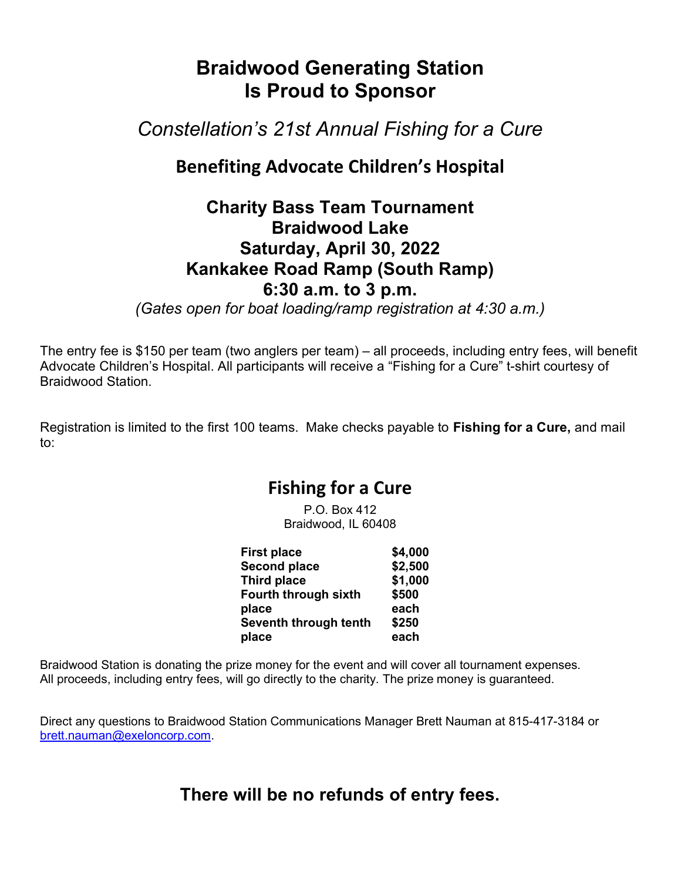# Braidwood Generating Station Is Proud to Sponsor

Constellation's 21st Annual Fishing for a Cure

## Benefiting Advocate Children's Hospital

#### Charity Bass Team Tournament Braidwood Lake Saturday, April 30, 2022 Kankakee Road Ramp (South Ramp) 6:30 a.m. to 3 p.m.

(Gates open for boat loading/ramp registration at 4:30 a.m.)

The entry fee is \$150 per team (two anglers per team) – all proceeds, including entry fees, will benefit Advocate Children's Hospital. All participants will receive a "Fishing for a Cure" t-shirt courtesy of Braidwood Station.

Registration is limited to the first 100 teams. Make checks payable to Fishing for a Cure, and mail to:

### Fishing for a Cure

 $P$  O. Box 412 Braidwood, IL 60408

| <b>First place</b>    | \$4,000 |
|-----------------------|---------|
| <b>Second place</b>   | \$2,500 |
| Third place           | \$1,000 |
| Fourth through sixth  | \$500   |
| place                 | each    |
| Seventh through tenth | \$250   |
| place                 | each    |

Braidwood Station is donating the prize money for the event and will cover all tournament expenses. All proceeds, including entry fees, will go directly to the charity. The prize money is guaranteed.

Direct any questions to Braidwood Station Communications Manager Brett Nauman at 815-417-3184 or brett.nauman@exeloncorp.com.

There will be no refunds of entry fees.